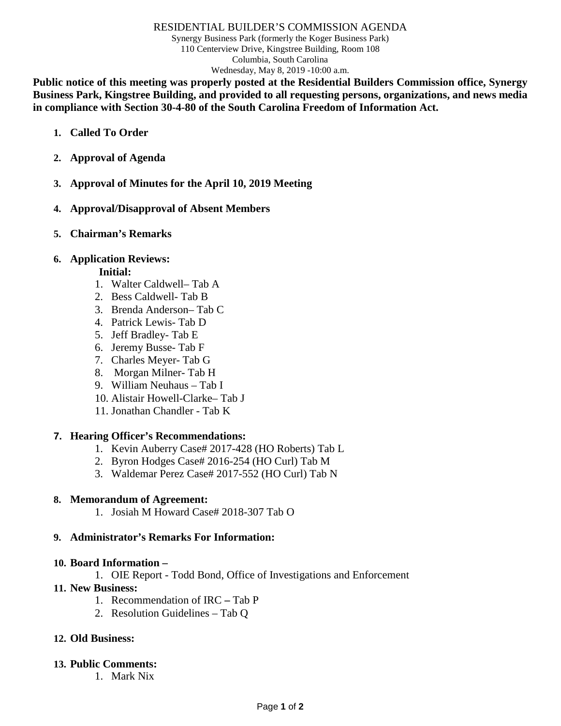#### RESIDENTIAL BUILDER'S COMMISSION AGENDA

Synergy Business Park (formerly the Koger Business Park) 110 Centerview Drive, Kingstree Building, Room 108 Columbia, South Carolina Wednesday, May 8, 2019 -10:00 a.m.

**Public notice of this meeting was properly posted at the Residential Builders Commission office, Synergy Business Park, Kingstree Building, and provided to all requesting persons, organizations, and news media in compliance with Section 30-4-80 of the South Carolina Freedom of Information Act.**

- **1. Called To Order**
- **2. Approval of Agenda**
- **3. Approval of Minutes for the April 10, 2019 Meeting**
- **4. Approval/Disapproval of Absent Members**
- **5. Chairman's Remarks**

## **6. Application Reviews:**

## **Initial:**

- 1. Walter Caldwell– Tab A
- 2. Bess Caldwell- Tab B
- 3. Brenda Anderson– Tab C
- 4. Patrick Lewis- Tab D
- 5. Jeff Bradley- Tab E
- 6. Jeremy Busse- Tab F
- 7. Charles Meyer- Tab G
- 8. Morgan Milner- Tab H
- 9. William Neuhaus Tab I
- 10. Alistair Howell-Clarke– Tab J
- 11. Jonathan Chandler Tab K

### **7. Hearing Officer's Recommendations:**

- 1. Kevin Auberry Case# 2017-428 (HO Roberts) Tab L
- 2. Byron Hodges Case# 2016-254 (HO Curl) Tab M
- 3. Waldemar Perez Case# 2017-552 (HO Curl) Tab N

### **8. Memorandum of Agreement:**

1. Josiah M Howard Case# 2018-307 Tab O

### **9. Administrator's Remarks For Information:**

### **10. Board Information –**

- 1. OIE Report Todd Bond, Office of Investigations and Enforcement
- **11. New Business:**
	- 1. Recommendation of IRC **–** Tab P
	- 2. Resolution Guidelines Tab Q

## **12. Old Business:**

### **13. Public Comments:**

1. Mark Nix